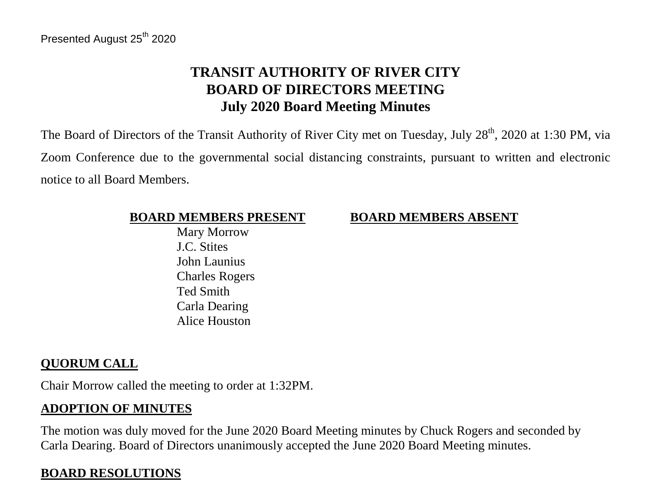# **TRANSIT AUTHORITY OF RIVER CITY BOARD OF DIRECTORS MEETING July 2020 Board Meeting Minutes**

The Board of Directors of the Transit Authority of River City met on Tuesday, July 28<sup>th</sup>, 2020 at 1:30 PM, via Zoom Conference due to the governmental social distancing constraints, pursuant to written and electronic notice to all Board Members.

#### **BOARD MEMBERS PRESENT BOARD MEMBERS ABSENT**

 Mary Morrow J.C. Stites John Launius Charles Rogers Ted Smith Carla Dearing Alice Houston

## **QUORUM CALL**

Chair Morrow called the meeting to order at 1:32PM.

## **ADOPTION OF MINUTES**

The motion was duly moved for the June 2020 Board Meeting minutes by Chuck Rogers and seconded by Carla Dearing. Board of Directors unanimously accepted the June 2020 Board Meeting minutes.

## **BOARD RESOLUTIONS**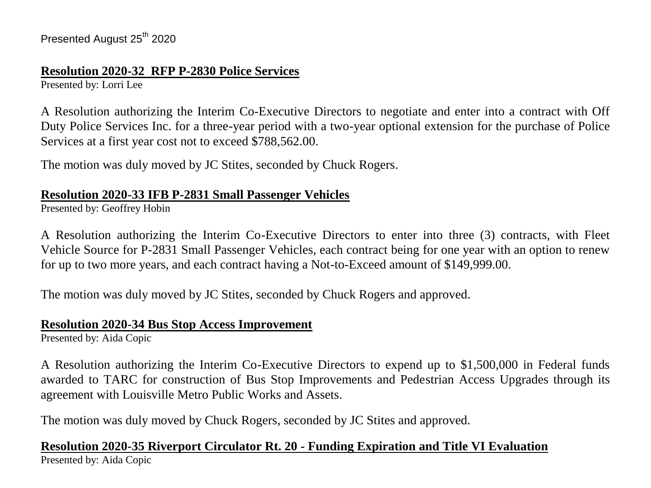#### **Resolution 2020-32 RFP P-2830 Police Services**

Presented by: Lorri Lee

A Resolution authorizing the Interim Co-Executive Directors to negotiate and enter into a contract with Off Duty Police Services Inc. for a three-year period with a two-year optional extension for the purchase of Police Services at a first year cost not to exceed \$788,562.00.

The motion was duly moved by JC Stites, seconded by Chuck Rogers.

## **Resolution 2020-33 IFB P-2831 Small Passenger Vehicles**

Presented by: Geoffrey Hobin

A Resolution authorizing the Interim Co-Executive Directors to enter into three (3) contracts, with Fleet Vehicle Source for P-2831 Small Passenger Vehicles, each contract being for one year with an option to renew for up to two more years, and each contract having a Not-to-Exceed amount of \$149,999.00.

The motion was duly moved by JC Stites, seconded by Chuck Rogers and approved.

#### **Resolution 2020-34 Bus Stop Access Improvement**

Presented by: Aida Copic

A Resolution authorizing the Interim Co-Executive Directors to expend up to \$1,500,000 in Federal funds awarded to TARC for construction of Bus Stop Improvements and Pedestrian Access Upgrades through its agreement with Louisville Metro Public Works and Assets.

The motion was duly moved by Chuck Rogers, seconded by JC Stites and approved.

## **Resolution 2020-35 Riverport Circulator Rt. 20 - Funding Expiration and Title VI Evaluation**

Presented by: Aida Copic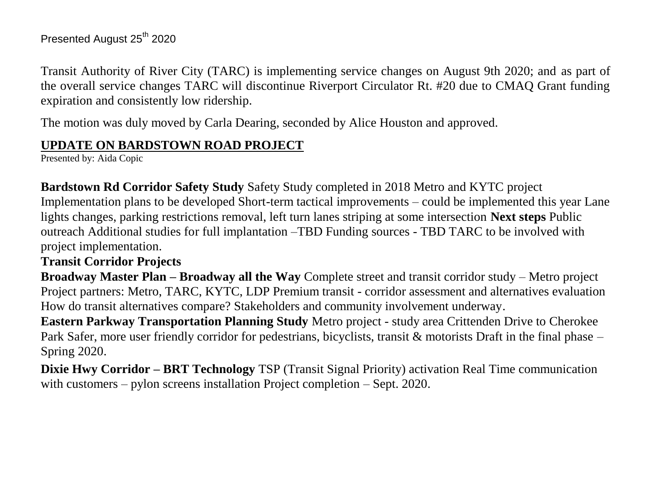Transit Authority of River City (TARC) is implementing service changes on August 9th 2020; and as part of the overall service changes TARC will discontinue Riverport Circulator Rt. #20 due to CMAQ Grant funding expiration and consistently low ridership.

The motion was duly moved by Carla Dearing, seconded by Alice Houston and approved.

## **UPDATE ON BARDSTOWN ROAD PROJECT**

Presented by: Aida Copic

**Bardstown Rd Corridor Safety Study** Safety Study completed in 2018 Metro and KYTC project Implementation plans to be developed Short-term tactical improvements – could be implemented this year Lane lights changes, parking restrictions removal, left turn lanes striping at some intersection **Next steps** Public outreach Additional studies for full implantation –TBD Funding sources - TBD TARC to be involved with project implementation.

#### **Transit Corridor Projects**

**Broadway Master Plan – Broadway all the Way** Complete street and transit corridor study – Metro project Project partners: Metro, TARC, KYTC, LDP Premium transit - corridor assessment and alternatives evaluation How do transit alternatives compare? Stakeholders and community involvement underway.

**Eastern Parkway Transportation Planning Study** Metro project - study area Crittenden Drive to Cherokee Park Safer, more user friendly corridor for pedestrians, bicyclists, transit & motorists Draft in the final phase – Spring 2020.

**Dixie Hwy Corridor – BRT Technology** TSP (Transit Signal Priority) activation Real Time communication with customers – pylon screens installation Project completion – Sept. 2020.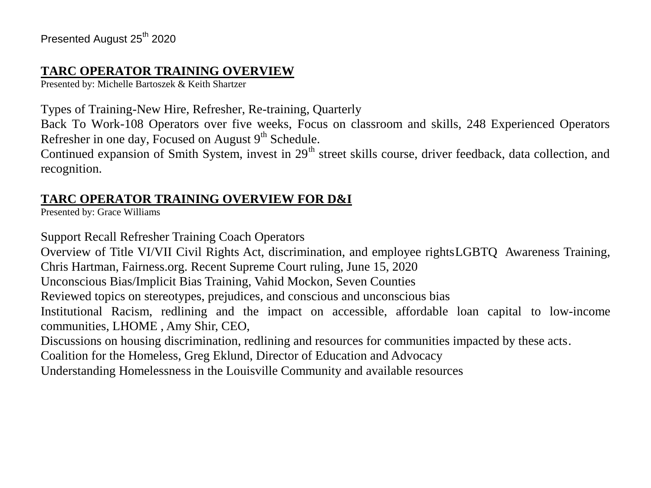## **TARC OPERATOR TRAINING OVERVIEW**

Presented by: Michelle Bartoszek & Keith Shartzer

Types of Training-New Hire, Refresher, Re-training, Quarterly

Back To Work-108 Operators over five weeks, Focus on classroom and skills, 248 Experienced Operators Refresher in one day, Focused on August  $9<sup>th</sup>$  Schedule.

Continued expansion of Smith System, invest in 29<sup>th</sup> street skills course, driver feedback, data collection, and recognition.

## **TARC OPERATOR TRAINING OVERVIEW FOR D&I**

Presented by: Grace Williams

Support Recall Refresher Training Coach Operators

Overview of Title VI/VII Civil Rights Act, discrimination, and employee rightsLGBTQ Awareness Training, Chris Hartman, Fairness.org. Recent Supreme Court ruling, June 15, 2020

Unconscious Bias/Implicit Bias Training, Vahid Mockon, Seven Counties

Reviewed topics on stereotypes, prejudices, and conscious and unconscious bias

Institutional Racism, redlining and the impact on accessible, affordable loan capital to low-income communities, LHOME , Amy Shir, CEO,

Discussions on housing discrimination, redlining and resources for communities impacted by these acts.

Coalition for the Homeless, Greg Eklund, Director of Education and Advocacy

Understanding Homelessness in the Louisville Community and available resources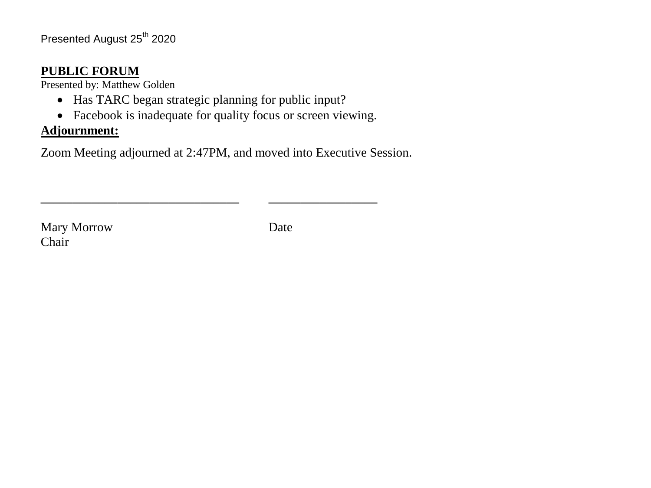#### **PUBLIC FORUM**

Presented by: Matthew Golden

- Has TARC began strategic planning for public input?
- Facebook is inadequate for quality focus or screen viewing.

**\_\_\_\_\_\_\_\_\_\_\_\_\_\_\_\_\_\_\_\_\_\_\_\_\_\_\_\_\_\_\_ \_\_\_\_\_\_\_\_\_\_\_\_\_\_\_\_\_**

## **Adjournment:**

Zoom Meeting adjourned at 2:47PM, and moved into Executive Session.

Mary Morrow Date Chair